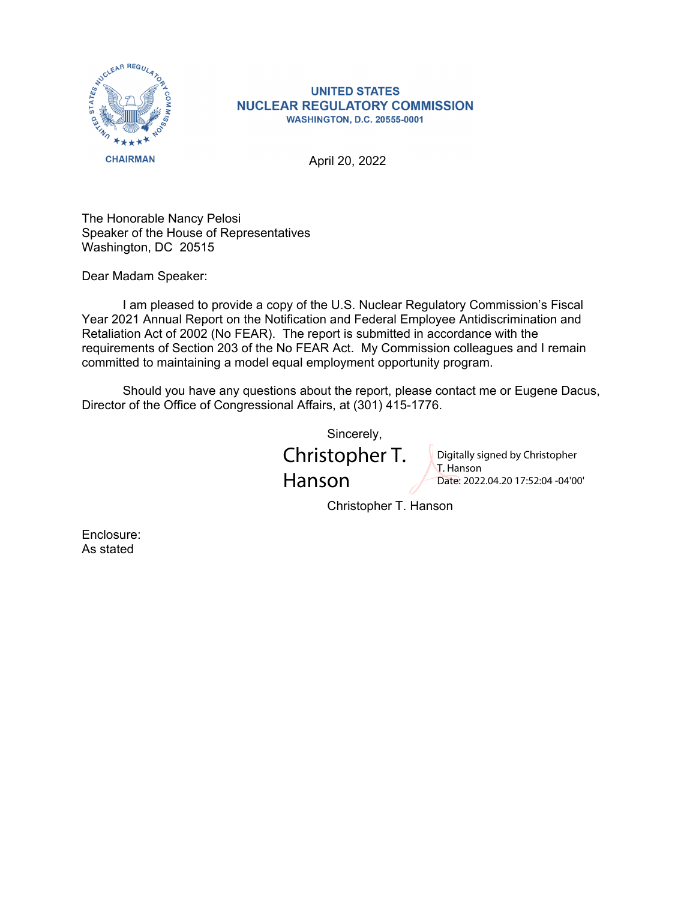

## **UNITED STATES NUCLEAR REGULATORY COMMISSION WASHINGTON, D.C. 20555-0001**

April 20, 2022

The Honorable Nancy Pelosi Speaker of the House of Representatives Washington, DC 20515

Dear Madam Speaker:

 I am pleased to provide a copy of the U.S. Nuclear Regulatory Commission's Fiscal Year 2021 Annual Report on the Notification and Federal Employee Antidiscrimination and Retaliation Act of 2002 (No FEAR). The report is submitted in accordance with the requirements of Section 203 of the No FEAR Act. My Commission colleagues and I remain committed to maintaining a model equal employment opportunity program.

 Should you have any questions about the report, please contact me or Eugene Dacus, Director of the Office of Congressional Affairs, at (301) 415-1776.

Sincerely,

Christopher T. Hanson

Digitally signed by Christopher T. Hanson Date: 2022.04.20 17:52:04 -04'00'

Christopher T. Hanson

Enclosure: As stated